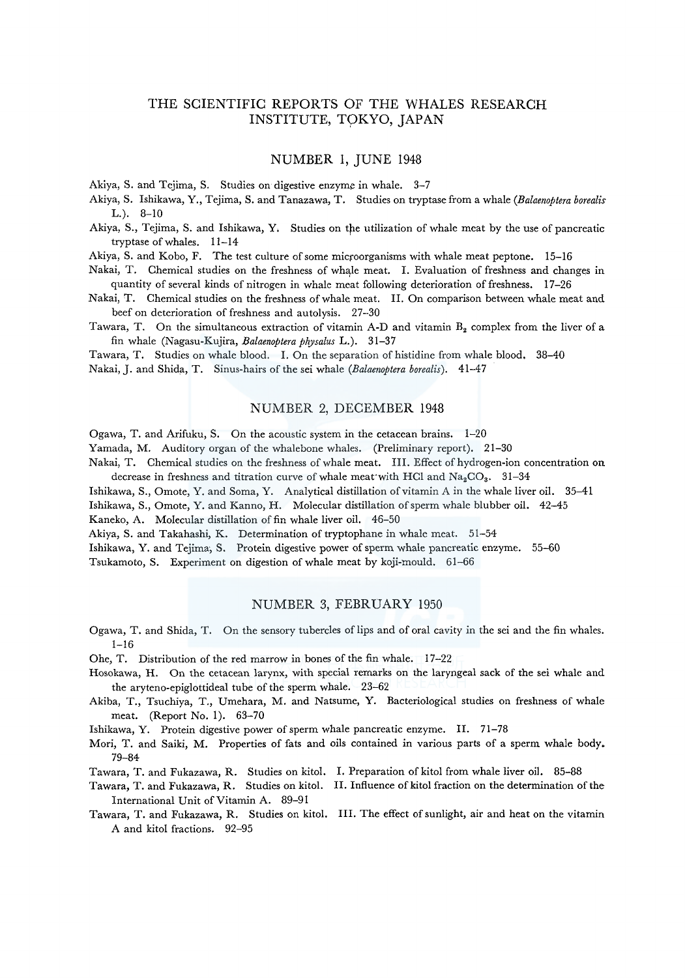# THE SCIENTIFIC REPORTS OF THE WHALES RESEARCH INSTITUTE, *T9KYO,* JAPAN

#### NUMBER 1, JUNE 1948

Akiya, S. and Tejima, S. Studies on digestive enzyme in whale. 3-7

- Akiya, S. Ishikawa, Y., Tejima, S. and Tanazawa, T. Studies on tryptase from a whale *(Balaenoptera borealis*  L.). 8-10
- Akiya, S., Tejima, S. and Ishikawa, Y. Studies on the utilization of whale meat by the use of pancreatic tryptase of whales. 11-14

Akiya, S. and Kobo, F. The test culture of some microorganisms with whale meat peptone. 15-16

Nakai, T. Chemical studies on the freshness of whale meat. I. Evaluation of freshness and changes in quantity of several kinds of nitrogen in whale meat following deterioration of freshness. 17-26

Nakai, T. Chemical studies on the freshness of whale meat. II. On comparison between whale meat and beef on deterioration of freshness and autolysis. 27-30

Tawara, T. On the simultaneous extraction of vitamin A-D and vitamin  $B_2$  complex from the liver of a fin whale (Nagasu-Kujira, *Balaenoptera physalus* L.). 31-37

Tawara, T. Studies on whale blood. I. On the separation of histidine from whale blood. 38-40 Nakai,J. and Shida, T. Sinus-hairs of the sei whale *(Balaenoptera borealis).* 41-47

### NUMBER 2, DECEMBER 1948

Ogawa, T. and Arifuku, S. On the acoustic system in the cetacean brains. 1-20

Yamada, M. Auditory organ of the whalebone whales. (Preliminary report). 21-30

Nakai, T. Chemical studies on the freshness of whale meat. III. Effect of hydrogen-ion concentration on decrease in freshness and titration curve of whale meat with HCl and  $\text{Na}_2\text{CO}_3$ . 31-34

Ishikawa, S., Omote, Y. and Soma, Y. Analytical distillation of vitamin A in the whale liver oil. 35-41

Ishikawa, S., Omote, Y. and Kanno, H. Molecular distillation of sperm whale blubber oil. 42-45

Kaneko, A. Molecular distillation of fin whale liver oil. 46-50

Akiya, S. and Takahashi, K. Determination of tryptophane in whale meat. 51–54

Ishikawa, Y. and Tejima; S. Protein digestive power of sperm whale pancreatic enzyme. 55-60

Tsukamoto, S. Experiment on digestion of whale meat by koji-mould. 61-66

### NUMBER 3, FEBRUARY 1950

Ogawa, T. and Shida, T. On the sensory tubercles of lips and of oral cavity in the sei and the fin whales. 1-16

Ohe, T. Distribution of the red marrow in bones of the fin whale. 17-22

- Hosokawa, H. On the cetacean larynx, with special remarks on the laryngeal sack of the sei whale and the aryteno-epiglottideal tube of the sperm whale. 23-62
- Akiba, T., Tsuchiya, T., Umehara, M. and Natsume, Y. Bacteriological studies on freshness of whale meat. (Report No. 1). 63-70

Ishikawa, Y. Protein digestive power of sperm whale pancreatic enzyme. II. 71-78

Mori, T. and Saiki, M. Properties of fats and oils contained in various parts of a sperm whale body. 79-84

Tawara, T. and Fukazawa, R. Studies on kitol. I. Preparation of kitol from whale liver oil. 85-88

Tawara, T. and Fukazawa, R. Studies on kitol. II. Influence of kitol fraction on the determination of the International Unit of Vitamin A. 89-91

Tawara, T. and Fukazawa, R. Studies on kitol. III. The effect of sunlight, air and heat on the vitamin A and kitol fractions. 92-95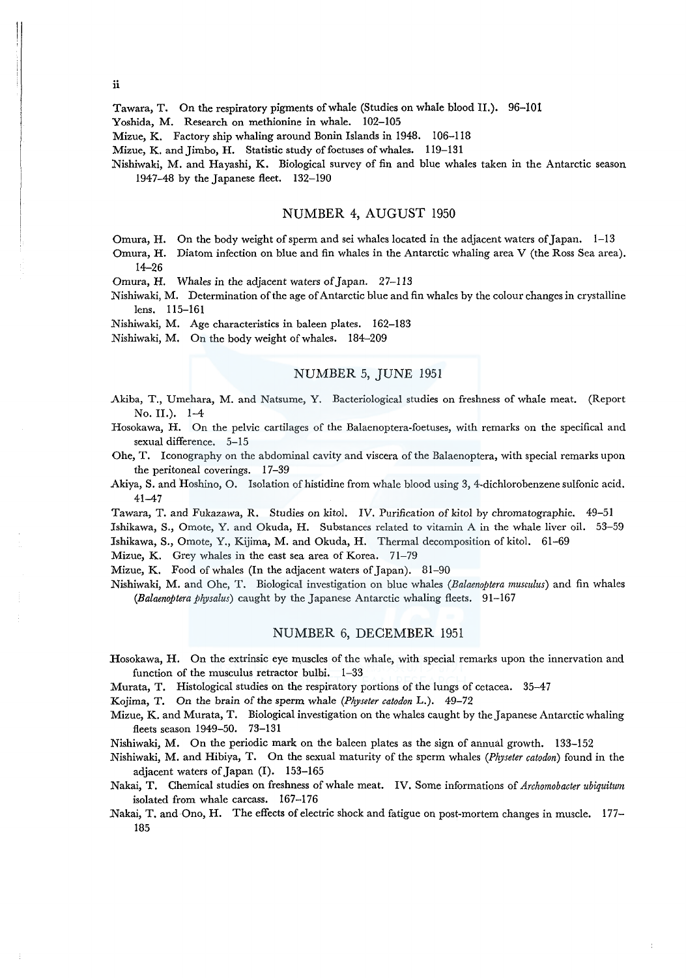Tawara, T. On the respiratory pigments of whale (Studies on whale blood II.). 96-101

Yoshida, M. Research on methionine in whale. 102-105

Mizue, K. Factory ship whaling around Bonin Islands in 1948. 106-118

Mizue, K. and Jimbo, H. Statistic study of foetuses of whales. 119-131

Nishiwaki, M. and Hayashi, K. Biological survey of fin and blue whales taken in the Antarctic season 1947-48 by the Japanese fleet. 132-190

### NUMBER 4, AUGUST 1950

Omura, H. On the body weight of sperm and sei whales located in the adjacent waters of Japan. 1-13

Omura, H. Diatom infection on blue and fin whales in the Antarctic whaling area V (the Ross Sea area). 14-26

Omura, H. Whales in the adjacent waters of Japan. 27-113

Nishiwaki, M. Determination of the age of Antarctic blue and fin whales by the colour changes in crystalline lens. 115-161

Nishiwaki, M. Age characteristics in baleen plates. 162-183

Nishiwaki, M. On the body weight of whales. 184-209

### NUMBER 5, JUNE 1951

Akiba, T., Umehara, M. and Natsume, Y. Bacteriological studies on freshness of whale meat. (Report No. II.). 1-4

Hosokawa, H. On the pelvic cartilages of the Balaenoptera-foetuses, with remarks on the specifical and sexual difference. 5-15

Ohe, T. Iconography on the abdominal cavity and viscera of the Balaenoptera, with special remarks upon the peritoneal coverings. 17-39

Akiya, S. and Hoshino, O. Isolation of histidine from whale blood using 3, 4-dichlorobenzene sulfonic acid. 41-47

Tawara, T. and Fukazawa, R. Studies on kitol. IV. Purification of kitol by chromatographie. 49-51

Ishikawa, S., Omote, Y. and Okuda, H. Substances related to vitamin A in the whale liver oil. 53-59

Ishikawa, S., Omote, Y., Kijima, M. and Okuda, H. Thermal decomposition of kitol. 61-69

Mizue, K. Grey whales in the east sea area of Korea. 71-79

Mizue, K. Food of whales (In the adjacent waters of Japan). 81-90

Nishiwaki, M. and Ohe, T. Biological investigation on blue whales *(Balaenoptera musculus)* and fin whales *(Balaenoptera physalus)* caught by the Japanese Antarctic whaling fleets. 91-167

### NUMBER 6, DECEMBER 1951

Hosokawa, H. On the extrinsic eye muscles of the whale, with special remarks upon the innervation and function of the musculus retractor bulbi. 1-33

Murata, T. Histological studies on the respiratory portions of the lungs of cetacea. 35-47

Kojima, T. On the brain of the sperm whale *(Physeter catodon* L.). 49-72

Mizue, K. and Murata, T. Biological investigation on the whales caught by the Japanese Antarctic whaling fleets season 1949-50. 73-131

Nishiwaki, M. On the periodic mark on the baleen plates as the sign of annual growth. 133-152

Nishiwaki, M. and Hibiya, T. On the sexual maturity of the sperm whales *(Physeter catodon)* found in the adjacent waters of Japan (I). 153-165

Nakai, T. Chemical studies on freshness of whale meat. IV. Some informations of *Archomobacter ubiquitum*  isolated from whale carcass. 167-176

Nakai, T. and Ono, H. The effects of electric shock and fatigue on post-mortem changes in muscle. 177- 185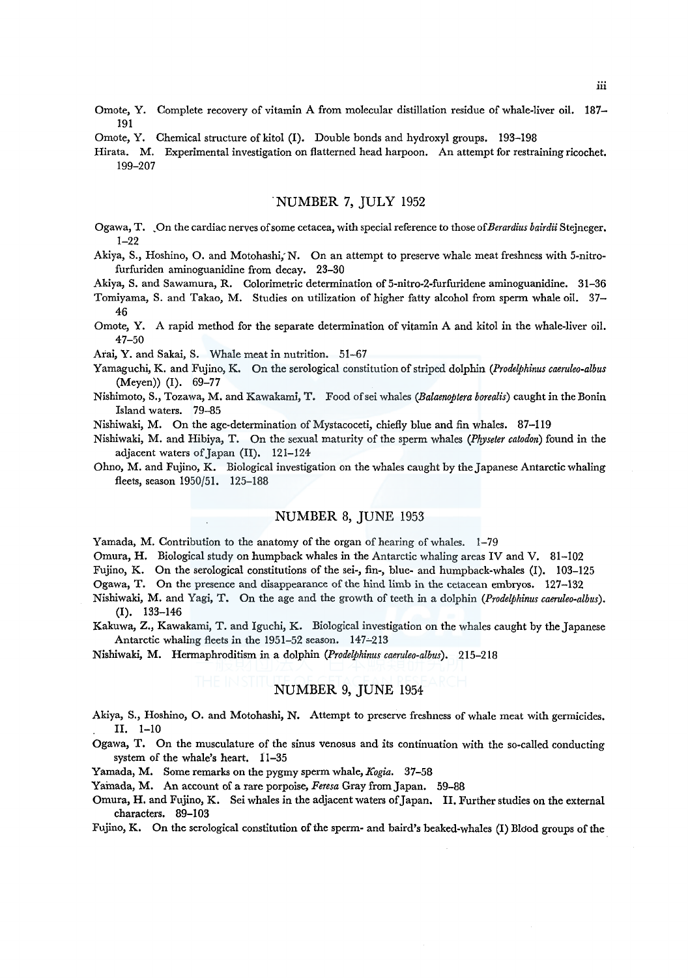- Omote, Y. Complete recovery of vitamin A from molecular distillation residue of whale-liver oil. 187- 191
- Omote, Y. Chemical structure of kitol (I). Double bonds and hydroxyl groups. 193-198
- Hirata. M. Experimental investigation on flatterned head harpoon. An attempt for restraining ricochet. 199-207

# "NUMBER 7, JULY 1952

- Ogawa, T. ,On the cardiac nerves of some cetacea, with special reference to those *ofBerardius bairdii* Stejneger. 1-22
- Akiya, S., Hoshino, 0. and Motohashi,' N. On an attempt to preserve whale meat freshness with 5-nitrofurfuriden aminoguanidine from decay. 23-30

Akiya, S. and Sawamura, R. Colorimetric determination of 5-nitro-2-furfuridene aminoguanidine. 31-36

- Tomiyama, S. and Takao, M. Studies on utilization of higher fatty alcohol from sperm whale oil. 37- 46
- Omote, Y. A rapid method for the separate determination of vitamin A and kitol in the whale-liver oil. 47-50

Arai, Y. and Sakai, S. Whale meat in nutrition. 51-67

- Yamaguchi, K. and Fujino, K. On the serological constitution of striped dolphin *(f'rodelphinus caeruleo-albus*  (Meyen)) (I). 69-77
- Nishimoto, S., Tozawa, M. and Kawakami, T. Food ofsei whales *(Balaenoptera borealis)* caught in the Bonin Island waters. 79-85
- Nishiwaki, M. On the age-determination of Mystacoceti, chiefly blue and fin whales. 87-119
- Nishiwaki, M. and Hibiya, T. On the sexual maturity of the sperm whales *(Physeter catodon)* found in the adjacent waters of Japan (II). 121-124
- Ohno, M. and Fujino, K. Biological investigation on the whales caught by the Japanese Antarctic whaling fleets, season 1950/51. 125-188

# NUMBER 8, JUNE 1953

Yamada, M. Contribution to the anatomy of the organ of hearing of whales. 1-79

Omura, H. Biological study on humpback whales in the Antarctic whaling areas IV and V. 81-102

Fujino, K. On the serological constitutions of the sei-, fin-, blue- and humpback-whales (I). 103-125

Ogawa, T. On the presence and disappearance of the hind limb in the cetacean embryos. 127-132

- Nishiwaki, M. and Yagi, T. On the age and the growth of teeth in a dolphin *(Prodelphinus caeruleo-albus).*  (I). 133-146
- Kakuwa, Z., Kawakami, T. and Iguchi, K. Biological investigation on the whales caught by the Japanese Antarctic whaling fleets in the 1951-52 season. 147-213

Nishiwaki, M. Hermaphroditism in a dolphin *(Prodelphinus caeruleo-albus).* 215-218

# NUMBER 9, JUNE 1954

- Akiya, S., Hoshino, 0. and Motohashi, N. Attempt to preserve freshness of whale meat with germicides. II. 1-10
- Ogawa, T. On the musculature of the sinus venosus and its continuation with the so-called conducting system of the whale's heart. 11-35

Yamada, M. Some remarks on the pygmy sperm whale, *Kogia.* 37-58

Yamada, M. An account of a rare porpoise, *Feresa* Gray from Japan. 59-88

Omura, H. and Fujino, K. Sei whales in the adjacent waters of Japan. II. Further studies on the external characters. 89-103

Fujino, K. On the serological constitution of the sperm- and baird's beaked-whales (I) Bldod groups of the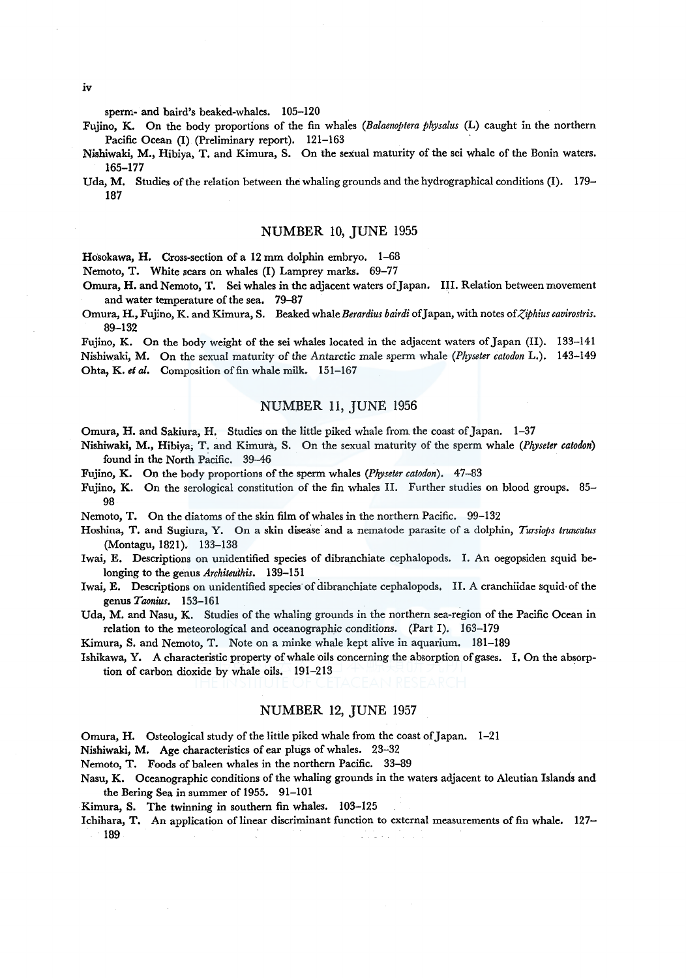*iv* 

sperm- and baird's beaked-whales. 105-120

- Fujino, K. On the body proportions of the fin whales *(Balaenoptera physalus* (L) caught in the northern Pacific Ocean (I) (Preliminary report). 121-163
- Nishiwaki, M., Hibiya, T. and Kimura, S. On the sexual maturity of the sei whale of the Bonin waters. 165-177

Uda, M. Studies of the relation between the whaling grounds and the hydrographical conditions (I). 179- 187

#### NUMBER 10, JUNE 1955

Hosokawa, H. Cross-section of a 12 mm dolphin embryo. 1-68

Nemoto, T. White scars on whales (I) Lamprey marks. 69-77

Omura, H. and Nemoto, T. Sei whales in the adjacent waters of Japan. III. Relation between movement and water temperature of the sea. 79-87

Omura, H., Fujino, K. and Kimura, S. Beaked whale Berardius bairdi of Japan, with notes of *Ziphius cavirostris*. 89-132

Fujino, K. On the body weight of the sei whales located in the adjacent waters of Japan (II). 133-141 Nishiwaki, M. On the sexual maturity of the Antarctic male sperm whale *(Physeter catodon* L.). 143-149 Ohta, K. et al. Composition of fin whale milk. 151-167

### NUMBER 11, JUNE 1956

Omura, H. and Sakiura, H. Studies on the little piked whale from. the coast of Japan. 1-37

Nishiwaki, M., Hibiya; T. and Kimura, S. On the sexual maturity of the sperm whale *(Physeter catodon)*  found in the North Pacific. 39-46

Fujino, K. On the body proportions of the sperm whales *(Physeter catodon).* 47-83

Fujino, K. On the serological constitution of the fin whales II. Further studies on blood groups. 85- 98

Nemoto, T. On the diatoms of the skin film of whales in the northern Pacific. 99-132

Hoshina, T. and Sugiura, Y. On a skin disease· and a nematode parasite of a dolphin, *Tursiops truncatus*  (Montagu, 1821). 133-138

Iwai, E. Descriptions on unidentified species of dibranchiate cephalopods. I. An oegopsiden squid belonging to the genus *Architeuthis*. 139-151

Iwai, E. Descriptions on unidentified species of dibranchiate cephalopods. II. A cranchiidae squid- of the genus *Taonius.* 153-161

Uda, M. and Nasu, K. Studies of the whaling grounds in the northern sea-region of the Pacific Ocean in relation to the meteorological and oceanographic conditions. (Part I). 163-179

Kimura, S. and Nemoto, T. Note on a minke whale kept alive in aquarium. 181-189

Ishikawa, Y. A characteristic property of whale oils concerning the absorption of gases. I. On the absorption of carbon dioxide by whale oils. 191-213

### NUMBER 12, JUNE 1957

Omura, H. Osteological study of the little piked whale from the coast of Japan. 1-21

Nishiwaki, M. Age characteristics of ear plugs of whales. 23-32

Nemoto, T. Foods of baleen whales in the northern Pacific. 33-89

Nasu, K. Oceanographic conditions of the whaling grounds in the waters adjacent to Aleutian Islands and the Bering Sea in summer of 1955. 91-101

Kimura, S. The twinning in southern fin whales. 103-125

Ichihara, T. An application of linear discriminant function to external measurements of fin whale. 127- 189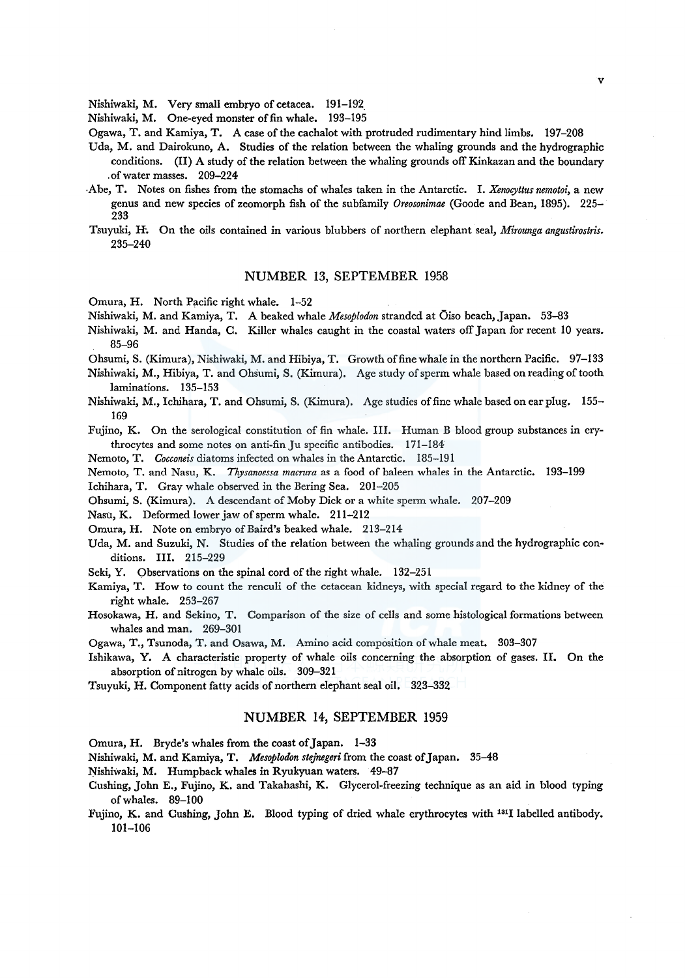Nishiwaki, M. Very small embryo of cetacea. 191-192.

Nishiwaki, M. One-eyed monster of fin whale. 193-195

- Ogawa, T. and Kamiya, T. A case of the cachalot with protruded rudimentary hind limbs. 197-208
- Uda, M. and Dairokuno, A. Studies of the relation between the whaling grounds and the hydrographic conditions. (II) A study of the relation between the whaling grounds off Kinkazan and the boundary .of water masses. 209-224
- ·Abe, T. Notes on fishes from the stomachs of whales taken in the Antarctic. I. *Xenocyttus nemotoi,* a new genus and new species of zeomorph fish of the subfamily *Oreosonimae* (Goode and Bean, 1895). 225- 233
- Tsuyuki, H. On the oils contained in various blubbers of northern elephant seal, *Mirounga angustirostris.*  235-240

#### NUMBER 13, SEPTEMBER 1958

Omura, H. North Pacific right whale. 1-52

- Nishiwaki, M. and Kamiya, T. A beaked whale *Mesopladon* stranded at Oiso beach, Japan. 53-83
- Nishiwaki, M. and Handa, C. Killer whales caught in the coastal waters off Japan for recent 10 years. 85-96
- Ohsumi, S. (Kimura), Nishiwaki, M. and Hibiya, T. Growth of fine whale in the northern Pacific. 97-133
- Nishiwaki, M., Hibiya, T. and Ohsumi, S. (Kimura). Age study of sperm whale based on reading of tooth laminations. 135-153
- Nishiwaki, M., Ichihara, T. and Ohsumi, S. (Kimura). Age studies of fine whale based on ear plug. 155- 169
- Fujino, K. On the serological constitution of fin whale. III. Human B blood group substances in erythrocytes and some notes on anti-fin Ju specific antibodies. 171-184

Nemoto, T. *Cocconeis* diatoms infected on whales in the Antarctic. 185-191

Nemoto, T. and Nasu, K. *Thysanoessa macrura* as a food of baleen whales in the Antarctic. 193-199

Ichihara, T. Gray whale observed in the Bering Sea. 201-205

Ohsumi, S. (Kimura). A descendant of Moby Dick or a white sperm whale. 207-209

Nasu, K. Deformed lower jaw of sperm whale. 211-212

Omura, H. Note on embryo of Baird's beaked whale. 213-214

- Uda, M. and Suzuki, N. Studies of the relation between the whaling grounds and the hydrographic conditions. III. 215-229
- Seki, Y. Observations on the spinal cord of the right whale. 132-251
- Kamiya, T. How to count the renculi of the cetacean kidneys, with special regard to the kidney of the right whale. 253-267
- Hosokawa, H. and Sekino, T. Comparison of the size of cells and some histological formations between whales and man. 269-301
- Ogawa, T., Tsunoda, T. and Osawa, M. Amino acid composition of whale meat. 303-307
- Ishikawa, Y. A characteristic property of whale oils concerning the absorption of gases. II. On the absorption of nitrogen by whale oils. 309-321

Tsuyuki, H. Component fatty acids of northern elephant seal oil. 323-332

#### NUMBER 14, SEPTEMBER 1959

Omura, H. Bryde's whales from the coast of Japan. 1-33

Nishiwaki, M. and Kamiya, T. *Mesoplodon stejnegeri* from the coast of Japan. 35-48

Nishiwaki, M. Humpback whales in Ryukyuan waters. 49-87

- Cushing, John E., Fujino, K. and Takahashi, K. Glycerol-freezing technique as an aid in blood typing ofwhales. 89-100
- Fujino, K. and Cushing, John E. Blood typing of dried whale erythrocytes with 1311 labelled antibody. 101-106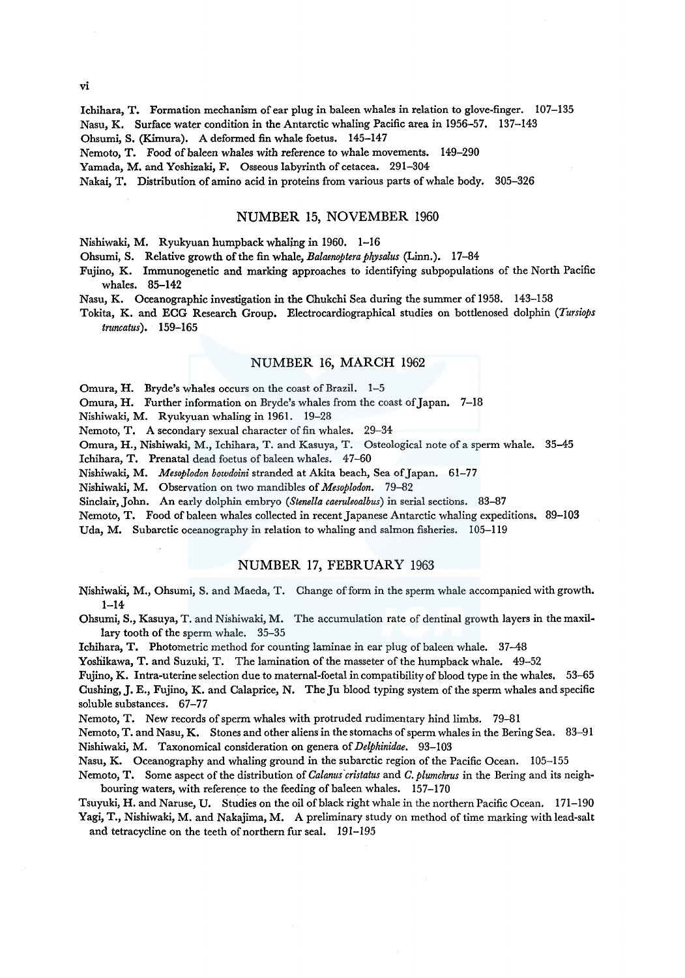Ichihara, T. Formation mechanism of ear plug in baleen whales in relation to glove-finger. 107-135 Nasu, K. Surface water condition in the Antarctic whaling Pacific area in 1956-57. 137-143 Ohsumi, S. (Kimura). A deformed fin whale foetus. 145-147

Nemoto, T. Food of baleen whales with reference to whale movements. 149-290

Yamada, M. and Yoshizaki, F. Osseous labyrinth of cetacea. 291-304

Nakai, T. Distribution of amino acid in proteins from various parts of whale body. 305-326

### NUMBER 15, NOVEMBER 1960

Nishiwaki, M. Ryukyuan humpback whaling in 1960. 1-16

Ohsumi, S. Relative growth of the fin whale, *Balaenoptera physalus* (Linn.). 17-84

Fujino, K. Immunogenetic and marking approaches to identifying subpopulations of the North Pacific whales. 85-142

Nasu, K. Oceanographic investigation in the Chukchi Sea during the summer of 1958. 143-158

Tokita, K. and ECG Research Group. Electrocardiographical studies on bottlenosed dolphin *(Tursiops truncatus).* 159-165

# NUMBER 16, MARCH 1962

Omura, H. Bryde's whales occurs on the coast of Brazil. 1-5

Omura, H. Further information on Bryde's whales from the coast of Japan. 7-18

Nishiwaki, M. Ryukyuan whaling in 1961. 19-28

Nemoto, T. A secondary sexual character of fin whales. 29-34

Omura, H., Nishiwaki, M., Ichihara, T. and Kasuya, T. Osteological note of a sperm whale. 35-45

lchihara, T. Prenatal dead foetus of baleen whales. 47-60

Nishiwaki, M. *Mesoplodon bowdoini* stranded at Akita beach, Sea of Japan. 61-77

Nishiwaki, M. Observation on two mandibles of *Mesoplodon.* 79-82

Sinclair, John. An early dolphin embryo *(Stenella caeruleoalbus)* in serial sections. 83-87

Nemoto, T. Food of baleen whales collected in recent Japanese Antarctic whaling expeditions, 89-103

Uda, M. Subarctic oceanography in relation to whaling and salmon fisheries. 105-119

#### NUMBER 17, FEBRUARY 1963

Nishiwaki, M., Ohsumi, S. and Maeda, T. Change of form in the sperm whale accompanied with growth. 1-14

Ohsumi, S., Kasuya, T. and Nishiwaki, M. The accumulation rate of dentinal growth layers in the maxil· lary tooth of the sperm whale. 35-35

Ichihara, T. Photometric method for counting laminae in ear plug of baleen whale. 37-48

Yoshikawa, T. and Suzuki, T. The lamination of the masseter of the humpback whale. 49-52

Fujino, K. Intra-uterine selection due to maternal-foetal in compatibility of blood type in the whales. 53-65 Cushing, J.E., Fujino, K. and Calaprice, N. The Ju blood typing system of the sperm whales and specific

soluble substances. 67-77

Nemoto, T. New records of sperm whales with protruded rudimentary hind limbs. 79-81

Nemoto, T. and Nasu, K. Stones and other aliens in the stomachs of sperm whales in the Bering Sea. 83-91 Nishiwaki, M. Taxonomical consideration on genera of *Delphinidae.* 93-103

Nasu, K. Oceanography and whaling ground in the subarctic region of the Pacific Ocean. 105-155

Nemoto, T. Some aspect of the distribution of *Calanus cristatus* and *C. plumchrus* in the Bering and its neighbouring waters, with reference to the feeding of baleen whales. 157-170

Tsuyuki, H. and Naruse, U. Studies on the oil of black right whale in the northern Pacific Ocean. 171-190 Yagi, T., Nishiwaki, M. and Nakajima, M. A preliminary study on method of time marking with lead-salt and tetracycline on the teeth of northern fur seal. 191-195

vi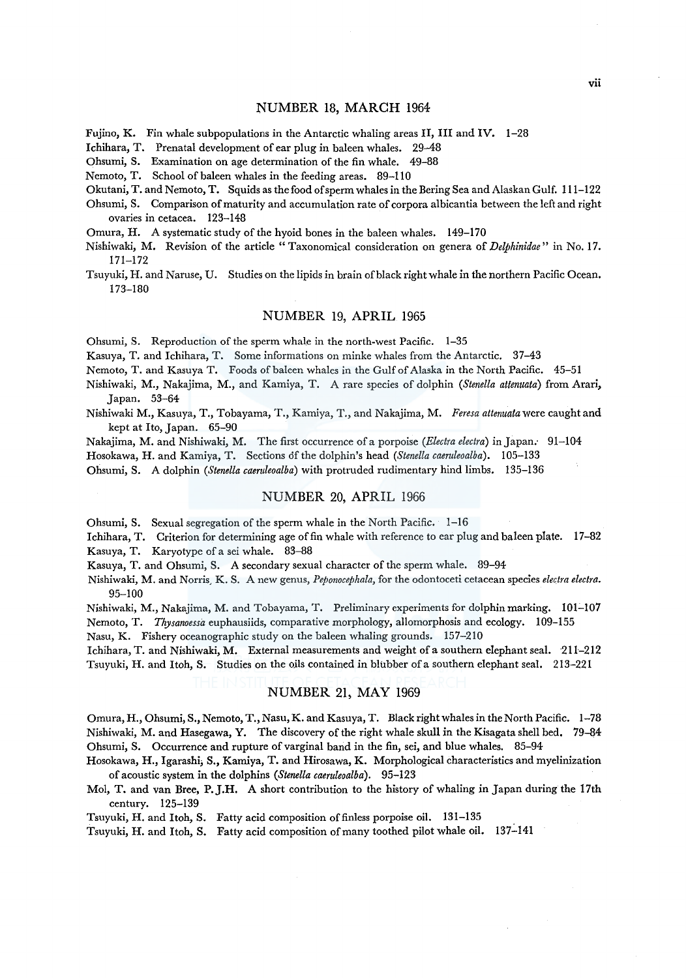#### NUMBER 18, MARCH 1964

Fujino, K. Fin whale subpopulations in the Antarctic whaling areas II, III and IV.  $1-28$ 

Ichihara, T. Prenatal development of ear plug in baleen whales. 29-48

Ohsumi, S. Examination on age determination of the fin whale. 49-88

Nemoto, T. School of baleen whales in the feeding areas. 89-110

Okutani, T. and Nemoto, T. Squids as the food of sperm whales in the Bering Sea and Alaskan Gulf. 111-122

Ohsumi, S. Comparison of maturity and accumulation rate of corpora albicantia between the left and right ovaries in cetacea. 123-148

Omura, H. A systematic study of the hyoid bones in the baleen whales. 149-170

Nishiwaki, M. Revision of the article "Taxonomical consideration on genera of *Delphinidae"* in No. 17. 171-172

Tsuyuki, H. and Naruse, U. Studies on the lipids in brain of black right whale in the northern Pacific Ocean. 173-180

#### NUMBER 19, APRIL 1965

Ohsumi, S. Reproduction of the sperm whale in the north-west Pacific. 1-35

Kasuya, T. and Ichihara, T. Some informations on minke whales from the Antarctic. 37-43

Nemoto, T. and Kasuya T. Foods of baleen whales in the Gulf of Alaska in the North Pacific. 45-51

- Nishiwaki, M., Nakajima, M., and Kamiya, T. A rare species of dolphin *(Stenella attenuata)* from Arari, Japan. 53-64
- Nishiwaki M., Kasuya, T., Tobayama, T., Kamiya, T., and Nakajima, M. *Feresa attenuatawere* caught and kept at Ito, Japan. 65-90
- Nakajima, M. and Nishiwaki, M. The first occurrence of a porpoise *(Electra electra)* in Japan. 91-104

Hosokawa, H. and Kamiya, T. Sections dfthe dolphin's head *(Stenella caeruleoalba).* 105-133

Ohsumi, S. A dolphin *(Stenella caeruleoalba)* with protruded rudimentary hind limbs. 135-136

### NUMBER 20, APRIL 1966

Ohsumi, S. Sexual segregation of the sperm whale in the North Pacific. 1-16

Ichihara, T. Criterion for determining age of fin whale with reference to ear plug and baleen plate. 17-82 Kasuya, T. Karyotype of a sei whale. 83-88

Kasuya, T. and Ohsumi, S. A secondary sexual character of the sperm whale. 89-94

Nishiwaki, M. and Norris, K. S. A new genus, *Peponocephala,* for the odontoceti cetacean species *electra electra.*  95-100

Nishiwaki, M., Nakajima, M. and Tobayama, T. Preliminary experiments for dolphin marking. 101-107 Nemoto, T. *Thysanoessa* euphausiids, comparative morphology, allomorphosis and ecology. 109-155

Nasu, K. Fishery oceanographic study on the baleen whaling grounds. 157-210

Ichihara, T. and Nishiwaki, M. External measurements and weight of a southern elephant seal. 211-212 Tsuyuki, H. and Itoh, S. Studies on the oils contained in blubber of a southern elephant seal. 213-221

### NUMBER 21, MAY 1969

Omura, H., Ohsumi, S., Nemoto, T., Nasu, K. and Kasuya, T. Black right whales in the North Pacific. 1-78 Nishiwaki, M. and Hasegawa, Y. The discovery of the right whale skull in the Kisagata shell bed. 79-84 Ohsumi, S. Occurrence and rupture ofvarginal band in the fin, sei, and blue whales. 85-94

Hosokawa, H., Igarashi; S., Kamiya, T. and Hirosawa, K. Morphological characteristics and myelinization of acoustic system in the dolphins *(Stenella caeruleoalba).* 95-123

Mo!, T. and van Bree, P.J.H. A short contribution to the history of whaling in Japan during the 17th century. 125-139

Tsuyuki, H. and Itoh, S. Fatty acid composition of finless porpoise oil. 131-135

Tsuyuki, H. and Itoh, S. Fatty acid composition of many toothed pilot whale oil. 137-141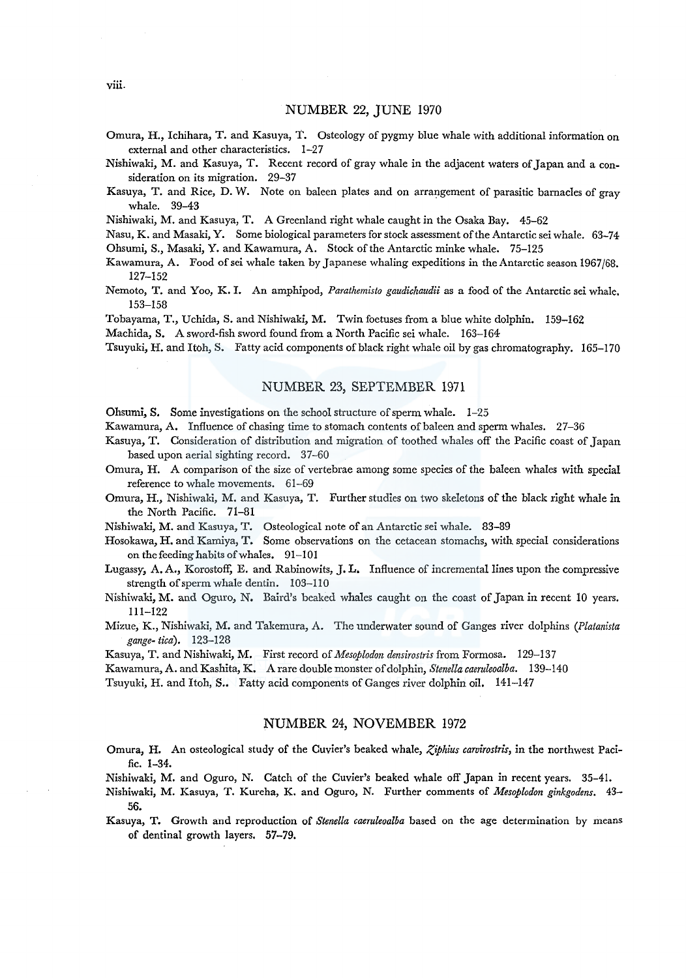# NUMBER 22, JUNE 1970

Omura, H., Ichihara, T. and Kasuya, T. Osteology of pygmy blue whale with additional information on external and other characteristics. 1-27

Nishiwaki, M. and Kasuya, T. Recent record of gray whale in the adjacent waters of Japan and a consideration on its migration. 29-37

Kasuya, T. and Rice, D. W. Note on baleen plates and on arrangement of parasitic barnacles of gray whale. 39-43

Nishiwaki, M. and Kasuya, T. A Greenland right whale caught in the Osaka Bay. 45-62

Nasu, K. and Masaki, Y. Some biological parameters for stock assessment of the Antarctic sei whale. 63-74 Ohsumi, S., Masaki, Y. and Kawamura, A. Stock of the Antarctic minke whale. 75-125

Kawamura, A. Food ofsei whale taken by Japanese whaling expeditions in the Antarctic season 1967/68. 127-152

Nemoto, T. and Yoo, K. I. An amphipod, *Parathemisto gaudichaudii* as a food of the Antarctic sei whale, 153-158

Tobayama, T., Uchida, S. and Nishiwaki, M. Twin foetuses from a blue white dolphin. 159-162

Machida, S. A sword-fish sword found from a North Pacific sei whale. 163-164

Tsuyuki, H. and Itoh, S. Fatty acid components of black right whale oil by gas chromatography. 165-170

#### NUMBER 23, SEPTEMBER 1971

**Ohsumi, S.** Some investigations on the school structure of sperm whale.  $1-25$ 

Kawamura, A. Influence of chasing time to stomach contents of baleen and sperm whales. 27-36

- Kasuya, T. Consideration of distribution and migration of toothed whales off the Pacific coast of Japan based upon aerial sighting record. 37-60
- Omura, H. A comparison of the size of vertebrae among some species of the baleen whales with special reference to whale movements. 61-69
- Omura, H., Nishiwaki, M. and Kasuya, T. Further studies on two skeletons of the black right whale in the North Pacific. 71-81
- Nishiwaki, M. and Kasuya, T. Osteological note of an Antarctic sei whale. 83-89
- Hosokawa, H. and Kamiya, T. Some observations on the cetacean stomachs, with special considerations on the feeding habits of whales. 91-101
- Lugassy, A. A., Korostoff, E. and Rabinowits, J. L. Influence of incremental lines upon the compressive strength of sperm whale dentin. 103-110
- Nishiwaki, M. and Oguro, N. Baird's beaked whales caught on the coast of Japan in recent 10 years. 111-122
- Mizue, K., Nishiwaki, M. and Takemura, A. The underwater sound of Ganges river dolphins *(Platanista gange- tica).* 123-128

Kasuya, T. and Nishiwaki, M. First record of *Mesoplodon densirostris* from Formosa. 129-137

Kawamura, A. and Kashita, K. *A* rare double monster of dolphin, *Stenella caeruleoalba.* 139-140

Tsuyuki, H. and Itoh, S.. Fatty acid components of Ganges river dolphin oil. 141-147

# NUMBER 24, NOVEMBER 1972

Omura, H. An osteological study of the Cuvier's beaked whale, *Ziphius carvirostris,* in the northwest Pacific. 1-34.

Nishiwaki, M. and Oguro, N. Catch of the Cuvier's beaked whale off Japan in recent years. 35-41.

Nishiwaki, M. Kasuya, T. Kureha, K. and Oguro, N. Further comments of *Mesoplodon ginkgodens.* 43- 56.

Kasuya, T. Growth and reproduction of *Stenella caeruleoalba* based on the age determination by means of dentinal growth layers. 57-79.

viii.